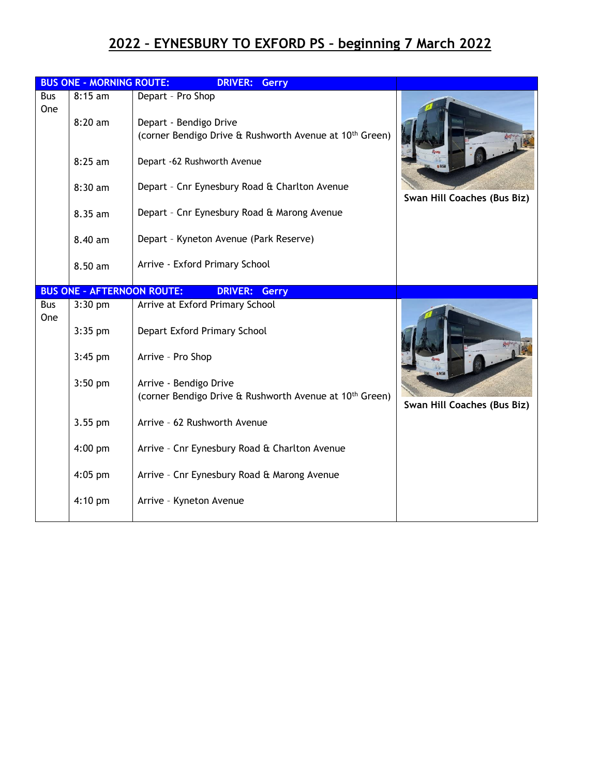## **2022 – EYNESBURY TO EXFORD PS – beginning 7 March 2022**

|            | <b>BUS ONE - MORNING ROUTE:</b>   | <b>DRIVER:</b><br><b>Gerry</b>                                                                |                             |
|------------|-----------------------------------|-----------------------------------------------------------------------------------------------|-----------------------------|
| <b>Bus</b> | $8:15$ am                         | Depart - Pro Shop                                                                             |                             |
| <b>One</b> | $8:20$ am                         | Depart - Bendigo Drive<br>(corner Bendigo Drive & Rushworth Avenue at 10 <sup>th</sup> Green) |                             |
|            | 8:25 am                           | Depart -62 Rushworth Avenue                                                                   |                             |
|            | 8:30 am                           | Depart - Cnr Eynesbury Road & Charlton Avenue                                                 | Swan Hill Coaches (Bus Biz) |
|            | 8.35 am                           | Depart - Cnr Eynesbury Road & Marong Avenue                                                   |                             |
|            | 8.40 am                           | Depart - Kyneton Avenue (Park Reserve)                                                        |                             |
|            | 8.50 am                           | Arrive - Exford Primary School                                                                |                             |
|            | <b>BUS ONE - AFTERNOON ROUTE:</b> | <b>DRIVER: Gerry</b>                                                                          |                             |
| Bus        | 3:30 pm                           | Arrive at Exford Primary School                                                               |                             |
| <b>One</b> | $3:35$ pm                         | Depart Exford Primary School                                                                  |                             |
|            | $3:45$ pm                         | Arrive - Pro Shop                                                                             |                             |
|            | $3:50$ pm                         | Arrive - Bendigo Drive                                                                        |                             |
|            |                                   | (corner Bendigo Drive & Rushworth Avenue at 10 <sup>th</sup> Green)                           | Swan Hill Coaches (Bus Biz) |
|            | 3.55 pm                           | Arrive - 62 Rushworth Avenue                                                                  |                             |
|            | $4:00$ pm                         | Arrive - Cnr Eynesbury Road & Charlton Avenue                                                 |                             |
|            | $4:05$ pm                         | Arrive - Cnr Eynesbury Road & Marong Avenue                                                   |                             |
|            | $4:10$ pm                         | Arrive - Kyneton Avenue                                                                       |                             |